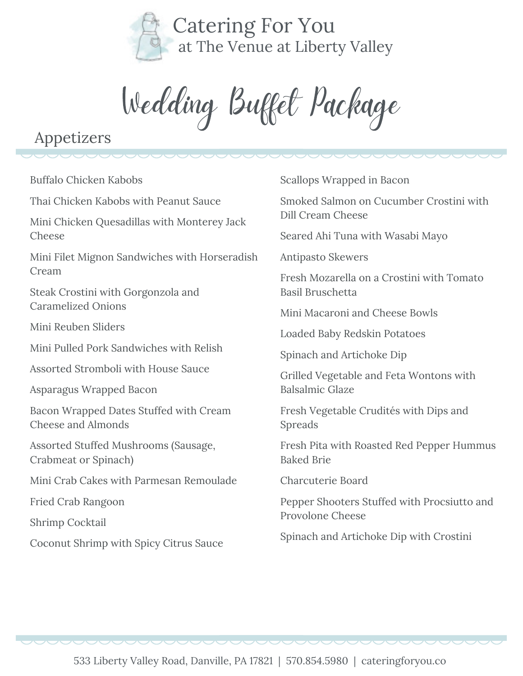

Wedding Buffet Package

# Appetizers

Buffalo Chicken Kabobs

Thai Chicken Kabobs with Peanut Sauce

Mini Chicken Quesadillas with Monterey Jack Cheese

Mini Filet Mignon Sandwiches with Horseradish Cream

Steak Crostini with Gorgonzola and Caramelized Onions

Mini Reuben Sliders

Mini Pulled Pork Sandwiches with Relish

Assorted Stromboli with House Sauce

Asparagus Wrapped Bacon

Bacon Wrapped Dates Stuffed with Cream Cheese and Almonds

Assorted Stuffed Mushrooms (Sausage, Crabmeat or Spinach)

Mini Crab Cakes with Parmesan Remoulade

Fried Crab Rangoon

Shrimp Cocktail

Coconut Shrimp with Spicy Citrus Sauce

Scallops Wrapped in Bacon

Smoked Salmon on Cucumber Crostini with Dill Cream Cheese

Seared Ahi Tuna with Wasabi Mayo

Antipasto Skewers

Fresh Mozarella on a Crostini with Tomato Basil Bruschetta

Mini Macaroni and Cheese Bowls

Loaded Baby Redskin Potatoes

Spinach and Artichoke Dip

Grilled Vegetable and Feta Wontons with Balsalmic Glaze

Fresh Vegetable Crudités with Dips and Spreads

Fresh Pita with Roasted Red Pepper Hummus Baked Brie

Charcuterie Board

Pepper Shooters Stuffed with Procsiutto and Provolone Cheese

Spinach and Artichoke Dip with Crostini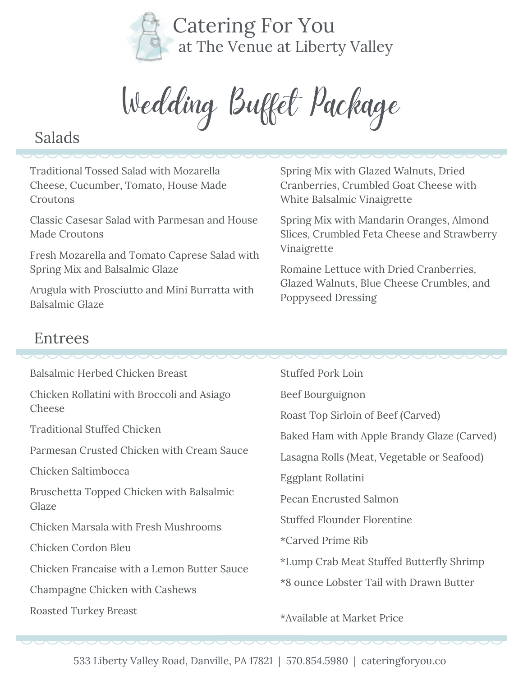

Wedding Buffet Package

### Salads

Traditional Tossed Salad with Mozarella Cheese, Cucumber, Tomato, House Made Croutons

Classic Casesar Salad with Parmesan and House Made Croutons

Fresh Mozarella and Tomato Caprese Salad with Spring Mix and Balsalmic Glaze

Arugula with Prosciutto and Mini Burratta with Balsalmic Glaze

Spring Mix with Glazed Walnuts, Dried Cranberries, Crumbled Goat Cheese with White Balsalmic Vinaigrette

Spring Mix with Mandarin Oranges, Almond Slices, Crumbled Feta Cheese and Strawberry Vinaigrette

Romaine Lettuce with Dried Cranberries, Glazed Walnuts, Blue Cheese Crumbles, and Poppyseed Dressing

### Entrees

| Balsalmic Herbed Chicken Breast                   | <b>Stuffed Pork Loin</b>                   |
|---------------------------------------------------|--------------------------------------------|
| Chicken Rollatini with Broccoli and Asiago        | Beef Bourguignon                           |
| Cheese                                            | Roast Top Sirloin of Beef (Carved)         |
| <b>Traditional Stuffed Chicken</b>                | Baked Ham with Apple Brandy Glaze (Carved) |
| Parmesan Crusted Chicken with Cream Sauce         | Lasagna Rolls (Meat, Vegetable or Seafood) |
| Chicken Saltimbocca                               | Eggplant Rollatini                         |
| Bruschetta Topped Chicken with Balsalmic<br>Glaze | <b>Pecan Encrusted Salmon</b>              |
| Chicken Marsala with Fresh Mushrooms              | <b>Stuffed Flounder Florentine</b>         |
| Chicken Cordon Bleu                               | *Carved Prime Rib                          |
| Chicken Francaise with a Lemon Butter Sauce       | *Lump Crab Meat Stuffed Butterfly Shrimp   |
| Champagne Chicken with Cashews                    | *8 ounce Lobster Tail with Drawn Butter    |
| <b>Roasted Turkey Breast</b>                      | *Available at Market Price                 |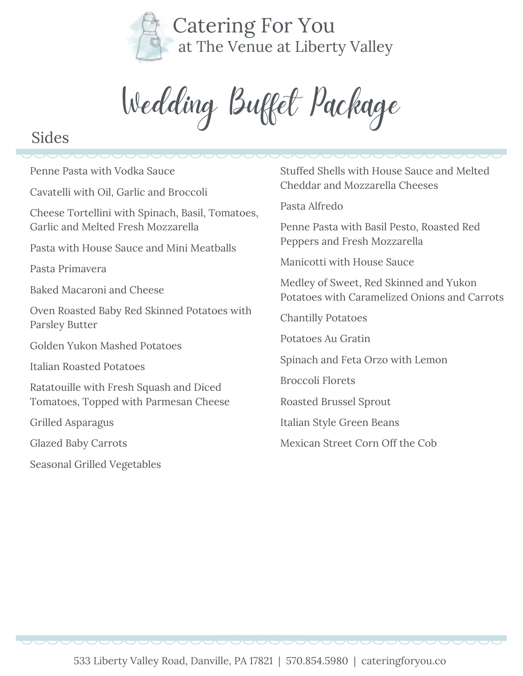

Wedding Buffet Package

### Sides

Penne Pasta with Vodka Sauce Cavatelli with Oil, Garlic and Broccoli Cheese Tortellini with Spinach, Basil, Tomatoes, Garlic and Melted Fresh Mozzarella Pasta with House Sauce and Mini Meatballs Pasta Primavera Baked Macaroni and Cheese Oven Roasted Baby Red Skinned Potatoes with Parsley Butter Golden Yukon Mashed Potatoes Italian Roasted Potatoes Ratatouille with Fresh Squash and Diced Tomatoes, Topped with Parmesan Cheese Grilled Asparagus Glazed Baby Carrots Seasonal Grilled Vegetables

Stuffed Shells with House Sauce and Melted Cheddar and Mozzarella Cheeses

Pasta Alfredo

Penne Pasta with Basil Pesto, Roasted Red Peppers and Fresh Mozzarella

Manicotti with House Sauce

Medley of Sweet, Red Skinned and Yukon Potatoes with Caramelized Onions and Carrots

Chantilly Potatoes

Potatoes Au Gratin

Spinach and Feta Orzo with Lemon

Broccoli Florets

Roasted Brussel Sprout

Italian Style Green Beans

Mexican Street Corn Off the Cob